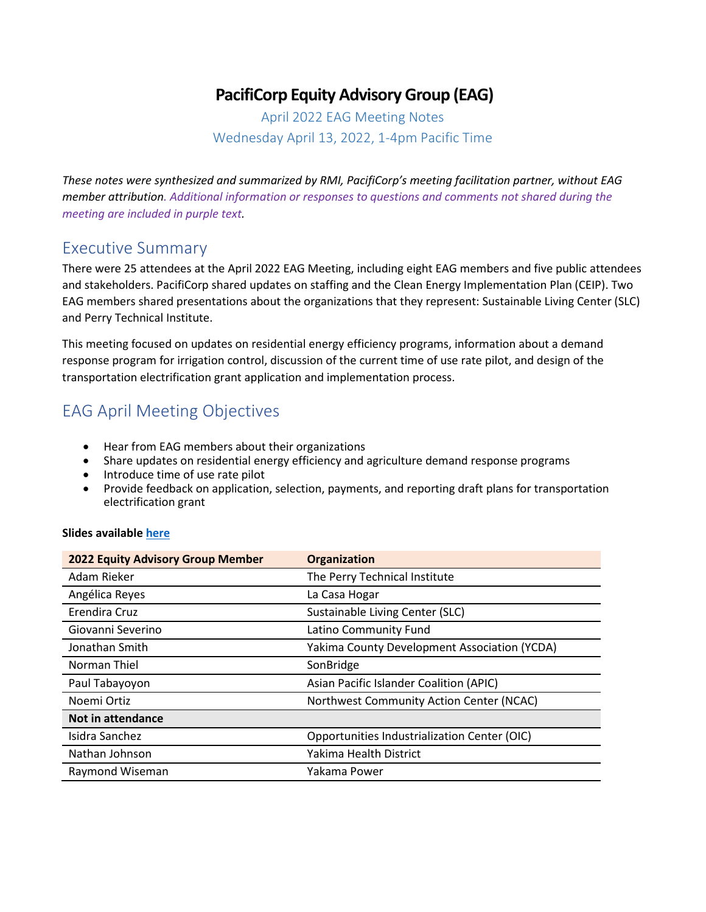## **PacifiCorp Equity Advisory Group (EAG)**

April 2022 EAG Meeting Notes Wednesday April 13, 2022, 1-4pm Pacific Time

*These notes were synthesized and summarized by RMI, PacifiCorp's meeting facilitation partner, without EAG member attribution. Additional information or responses to questions and comments not shared during the meeting are included in purple text.*

#### Executive Summary

There were 25 attendees at the April 2022 EAG Meeting, including eight EAG members and five public attendees and stakeholders. PacifiCorp shared updates on staffing and the Clean Energy Implementation Plan (CEIP). Two EAG members shared presentations about the organizations that they represent: Sustainable Living Center (SLC) and Perry Technical Institute.

This meeting focused on updates on residential energy efficiency programs, information about a demand response program for irrigation control, discussion of the current time of use rate pilot, and design of the transportation electrification grant application and implementation process.

### EAG April Meeting Objectives

- Hear from EAG members about their organizations
- Share updates on residential energy efficiency and agriculture demand response programs
- Introduce time of use rate pilot
- Provide feedback on application, selection, payments, and reporting draft plans for transportation electrification grant

#### **Slides availabl[e here](https://www.pacificorp.com/content/dam/pcorp/documents/en/pacificorp/energy/ceip/EAG_Meeting_April_Slides.pdf)**

| <b>2022 Equity Advisory Group Member</b> | Organization                                 |  |
|------------------------------------------|----------------------------------------------|--|
| Adam Rieker                              | The Perry Technical Institute                |  |
| Angélica Reyes                           | La Casa Hogar                                |  |
| Erendira Cruz                            | Sustainable Living Center (SLC)              |  |
| Giovanni Severino                        | Latino Community Fund                        |  |
| Jonathan Smith                           | Yakima County Development Association (YCDA) |  |
| Norman Thiel                             | SonBridge                                    |  |
| Paul Tabayoyon                           | Asian Pacific Islander Coalition (APIC)      |  |
| Noemi Ortiz                              | Northwest Community Action Center (NCAC)     |  |
| Not in attendance                        |                                              |  |
| Isidra Sanchez                           | Opportunities Industrialization Center (OIC) |  |
| Nathan Johnson                           | Yakima Health District                       |  |
| Raymond Wiseman                          | Yakama Power                                 |  |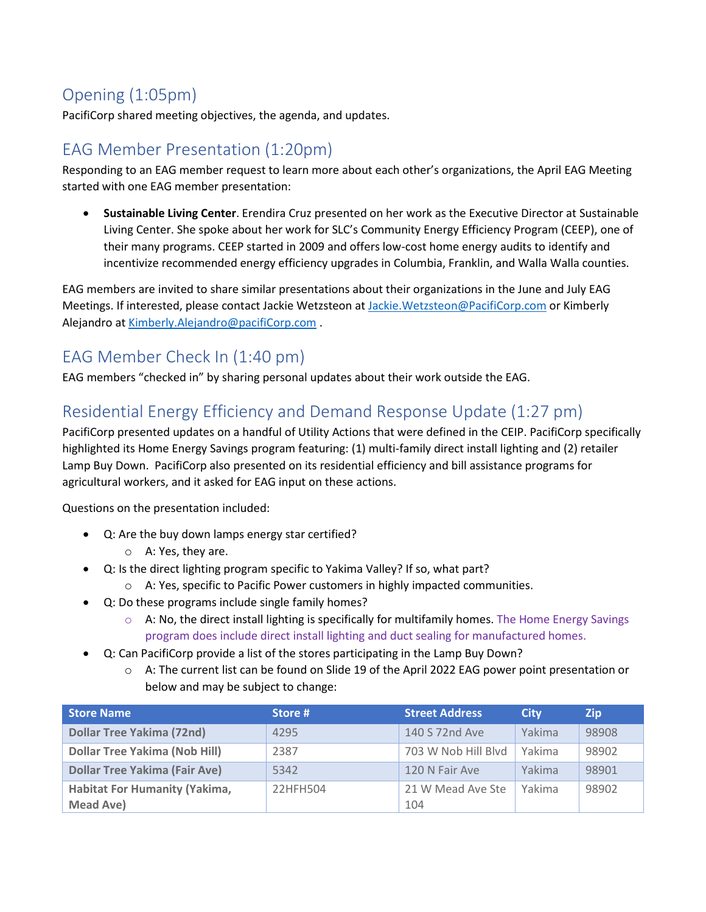# Opening (1:05pm)

PacifiCorp shared meeting objectives, the agenda, and updates.

#### EAG Member Presentation (1:20pm)

Responding to an EAG member request to learn more about each other's organizations, the April EAG Meeting started with one EAG member presentation:

• **Sustainable Living Center**. Erendira Cruz presented on her work as the Executive Director at Sustainable Living Center. She spoke about her work for SLC's Community Energy Efficiency Program (CEEP), one of their many programs. CEEP started in 2009 and offers low-cost home energy audits to identify and incentivize recommended energy efficiency upgrades in Columbia, Franklin, and Walla Walla counties.

EAG members are invited to share similar presentations about their organizations in the June and July EAG Meetings. If interested, please contact Jackie Wetzsteon at [Jackie.Wetzsteon@PacifiCorp.com](mailto:Jackie.Wetzsteon@PacifiCorp.com) or Kimberly Alejandro a[t Kimberly.Alejandro@pacifiCorp.com](mailto:Kimberly.Alejandro@pacifiCorp.com) .

## EAG Member Check In (1:40 pm)

EAG members "checked in" by sharing personal updates about their work outside the EAG.

#### Residential Energy Efficiency and Demand Response Update (1:27 pm)

PacifiCorp presented updates on a handful of Utility Actions that were defined in the CEIP. PacifiCorp specifically highlighted its Home Energy Savings program featuring: (1) multi-family direct install lighting and (2) retailer Lamp Buy Down. PacifiCorp also presented on its residential efficiency and bill assistance programs for agricultural workers, and it asked for EAG input on these actions.

Questions on the presentation included:

- Q: Are the buy down lamps energy star certified?
	- o A: Yes, they are.
	- Q: Is the direct lighting program specific to Yakima Valley? If so, what part?
		- o A: Yes, specific to Pacific Power customers in highly impacted communities.
- Q: Do these programs include single family homes?
	- $\circ$  A: No, the direct install lighting is specifically for multifamily homes. The Home Energy Savings program does include direct install lighting and duct sealing for manufactured homes.
- Q: Can PacifiCorp provide a list of the stores participating in the Lamp Buy Down?
	- o A: The current list can be found on Slide 19 of the April 2022 EAG power point presentation or below and may be subject to change:

| <b>Store Name</b>                    | Store #  | <b>Street Address</b> | City   | <b>Zip</b> |
|--------------------------------------|----------|-----------------------|--------|------------|
| <b>Dollar Tree Yakima (72nd)</b>     | 4295     | 140 S 72nd Ave        | Yakima | 98908      |
| <b>Dollar Tree Yakima (Nob Hill)</b> | 2387     | 703 W Nob Hill Blvd   | Yakima | 98902      |
| <b>Dollar Tree Yakima (Fair Ave)</b> | 5342     | 120 N Fair Ave        | Yakima | 98901      |
| <b>Habitat For Humanity (Yakima,</b> | 22HFH504 | 21 W Mead Ave Ste     | Yakima | 98902      |
| Mead Ave)                            |          | 104                   |        |            |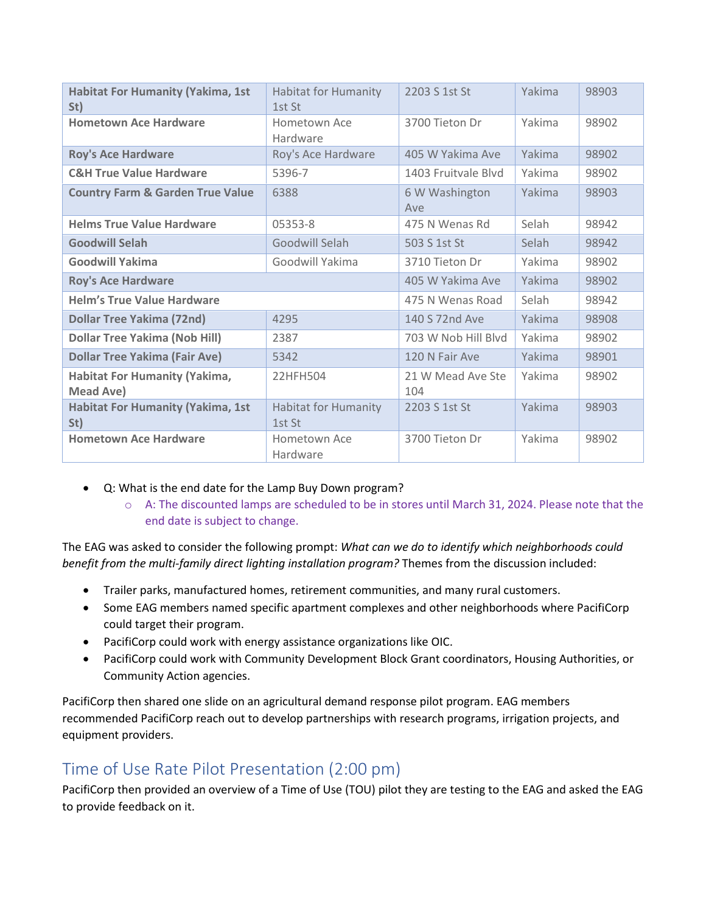| <b>Habitat For Humanity (Yakima, 1st</b><br>St)   | <b>Habitat for Humanity</b><br>1st St | 2203 S 1st St            | Yakima | 98903 |
|---------------------------------------------------|---------------------------------------|--------------------------|--------|-------|
| <b>Hometown Ace Hardware</b>                      | Hometown Ace<br>Hardware              | 3700 Tieton Dr           | Yakima | 98902 |
| <b>Roy's Ace Hardware</b>                         | Roy's Ace Hardware                    | 405 W Yakima Ave         | Yakima | 98902 |
| <b>C&amp;H True Value Hardware</b>                | 5396-7                                | 1403 Fruitvale Blvd      | Yakima | 98902 |
| <b>Country Farm &amp; Garden True Value</b>       | 6388                                  | 6 W Washington<br>Ave    | Yakima | 98903 |
| <b>Helms True Value Hardware</b>                  | 05353-8                               | 475 N Wenas Rd           | Selah  | 98942 |
| <b>Goodwill Selah</b>                             | Goodwill Selah                        | 503 S 1st St             | Selah  | 98942 |
| <b>Goodwill Yakima</b>                            | Goodwill Yakima                       | 3710 Tieton Dr           | Yakima | 98902 |
| <b>Roy's Ace Hardware</b>                         |                                       | 405 W Yakima Ave         | Yakima | 98902 |
| <b>Helm's True Value Hardware</b>                 |                                       | 475 N Wenas Road         | Selah  | 98942 |
| <b>Dollar Tree Yakima (72nd)</b>                  | 4295                                  | 140 S 72nd Ave           | Yakima | 98908 |
| <b>Dollar Tree Yakima (Nob Hill)</b>              | 2387                                  | 703 W Nob Hill Blvd      | Yakima | 98902 |
| <b>Dollar Tree Yakima (Fair Ave)</b>              | 5342                                  | 120 N Fair Ave           | Yakima | 98901 |
| <b>Habitat For Humanity (Yakima,</b><br>Mead Ave) | 22HFH504                              | 21 W Mead Ave Ste<br>104 | Yakima | 98902 |
| <b>Habitat For Humanity (Yakima, 1st</b><br>St)   | <b>Habitat for Humanity</b><br>1st St | 2203 S 1st St            | Yakima | 98903 |
| <b>Hometown Ace Hardware</b>                      | Hometown Ace<br>Hardware              | 3700 Tieton Dr           | Yakima | 98902 |

- Q: What is the end date for the Lamp Buy Down program?
	- o A: The discounted lamps are scheduled to be in stores until March 31, 2024. Please note that the end date is subject to change.

The EAG was asked to consider the following prompt: *What can we do to identify which neighborhoods could benefit from the multi-family direct lighting installation program?* Themes from the discussion included:

- Trailer parks, manufactured homes, retirement communities, and many rural customers.
- Some EAG members named specific apartment complexes and other neighborhoods where PacifiCorp could target their program.
- PacifiCorp could work with energy assistance organizations like OIC.
- PacifiCorp could work with Community Development Block Grant coordinators, Housing Authorities, or Community Action agencies.

PacifiCorp then shared one slide on an agricultural demand response pilot program. EAG members recommended PacifiCorp reach out to develop partnerships with research programs, irrigation projects, and equipment providers.

### Time of Use Rate Pilot Presentation (2:00 pm)

PacifiCorp then provided an overview of a Time of Use (TOU) pilot they are testing to the EAG and asked the EAG to provide feedback on it.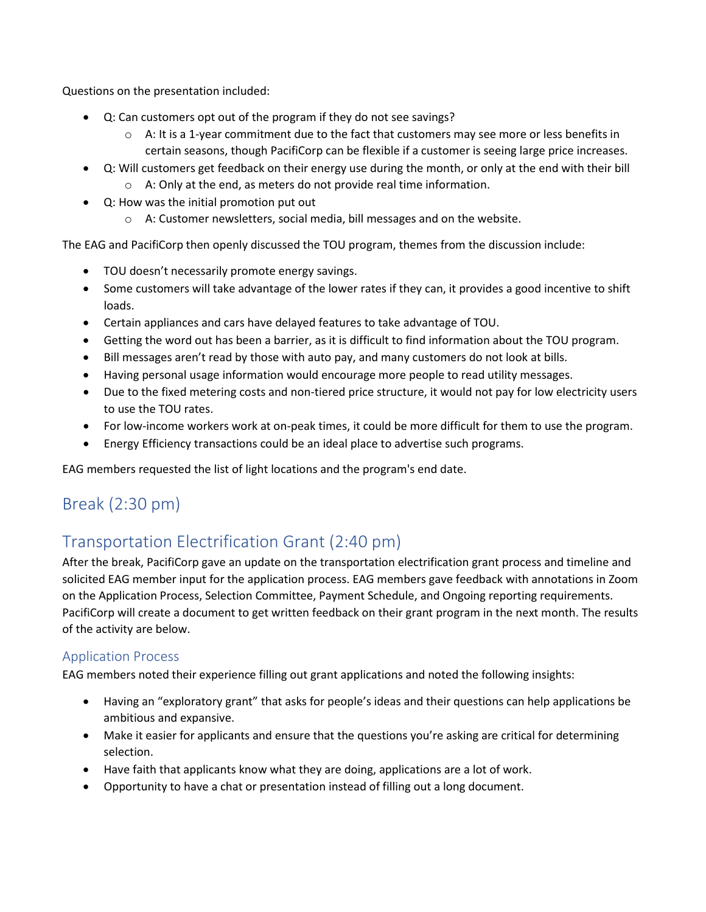Questions on the presentation included:

- Q: Can customers opt out of the program if they do not see savings?
	- $\circ$  A: It is a 1-year commitment due to the fact that customers may see more or less benefits in certain seasons, though PacifiCorp can be flexible if a customer is seeing large price increases.
- Q: Will customers get feedback on their energy use during the month, or only at the end with their bill o A: Only at the end, as meters do not provide real time information.
- Q: How was the initial promotion put out
	- o A: Customer newsletters, social media, bill messages and on the website.

The EAG and PacifiCorp then openly discussed the TOU program, themes from the discussion include:

- TOU doesn't necessarily promote energy savings.
- Some customers will take advantage of the lower rates if they can, it provides a good incentive to shift loads.
- Certain appliances and cars have delayed features to take advantage of TOU.
- Getting the word out has been a barrier, as it is difficult to find information about the TOU program.
- Bill messages aren't read by those with auto pay, and many customers do not look at bills.
- Having personal usage information would encourage more people to read utility messages.
- Due to the fixed metering costs and non-tiered price structure, it would not pay for low electricity users to use the TOU rates.
- For low-income workers work at on-peak times, it could be more difficult for them to use the program.
- Energy Efficiency transactions could be an ideal place to advertise such programs.

EAG members requested the list of light locations and the program's end date.

### Break (2:30 pm)

# Transportation Electrification Grant (2:40 pm)

After the break, PacifiCorp gave an update on the transportation electrification grant process and timeline and solicited EAG member input for the application process. EAG members gave feedback with annotations in Zoom on the Application Process, Selection Committee, Payment Schedule, and Ongoing reporting requirements. PacifiCorp will create a document to get written feedback on their grant program in the next month. The results of the activity are below.

#### Application Process

EAG members noted their experience filling out grant applications and noted the following insights:

- Having an "exploratory grant" that asks for people's ideas and their questions can help applications be ambitious and expansive.
- Make it easier for applicants and ensure that the questions you're asking are critical for determining selection.
- Have faith that applicants know what they are doing, applications are a lot of work.
- Opportunity to have a chat or presentation instead of filling out a long document.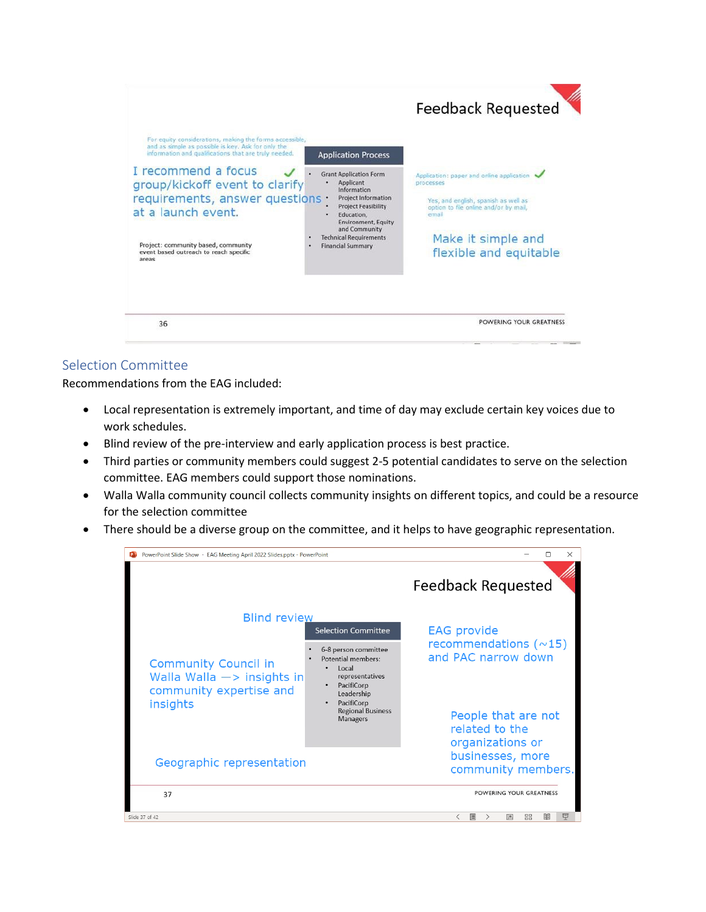

#### Selection Committee

Recommendations from the EAG included:

- Local representation is extremely important, and time of day may exclude certain key voices due to work schedules.
- Blind review of the pre-interview and early application process is best practice.
- Third parties or community members could suggest 2-5 potential candidates to serve on the selection committee. EAG members could support those nominations.
- Walla Walla community council collects community insights on different topics, and could be a resource for the selection committee
- There should be a diverse group on the committee, and it helps to have geographic representation.

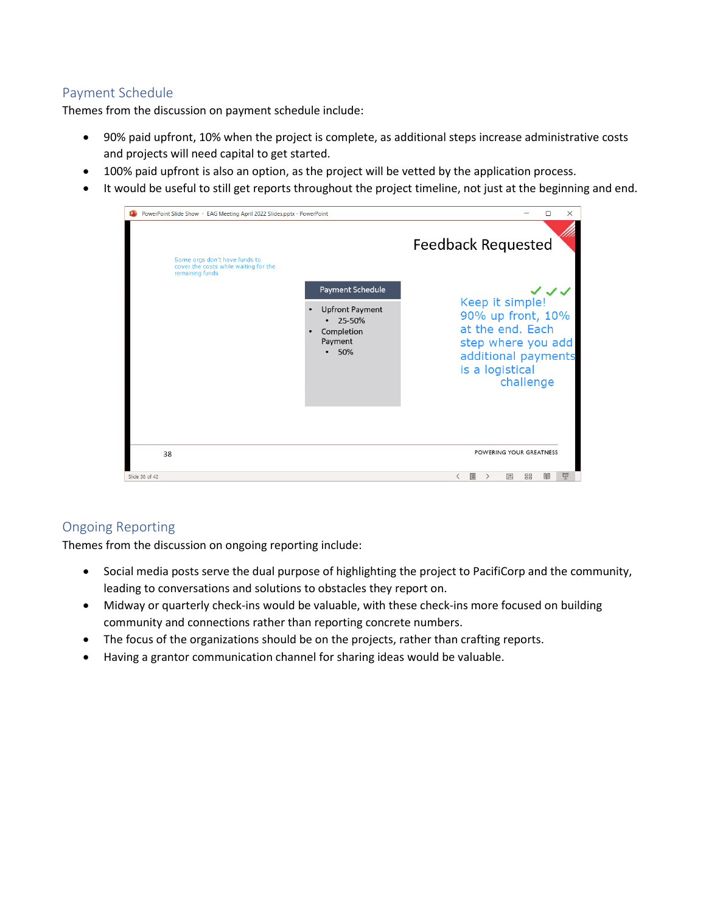#### Payment Schedule

Themes from the discussion on payment schedule include:

- 90% paid upfront, 10% when the project is complete, as additional steps increase administrative costs and projects will need capital to get started.
- 100% paid upfront is also an option, as the project will be vetted by the application process.
- It would be useful to still get reports throughout the project timeline, not just at the beginning and end.

| PowerPoint Slide Show - EAG Meeting April 2022 Slides.pptx - PowerPoint<br>œ              |                                                                                                   | □<br>×                                                                                                                                       |
|-------------------------------------------------------------------------------------------|---------------------------------------------------------------------------------------------------|----------------------------------------------------------------------------------------------------------------------------------------------|
| Some orgs don't have funds to<br>cover the costs while waiting for the<br>remaining funds |                                                                                                   | <b>Feedback Requested</b>                                                                                                                    |
|                                                                                           | Payment Schedule<br><b>Upfront Payment</b><br>25-50%<br>Completion<br>Payment<br>50%<br>$\bullet$ | マンマ<br>Keep it simple!<br>90% up front, 10%<br>at the end. Each<br>step where you add<br>additional payments<br>is a logistical<br>challenge |
| 38                                                                                        |                                                                                                   | POWERING YOUR GREATNESS                                                                                                                      |
| Slide 38 of 42                                                                            |                                                                                                   | 田<br>品<br>모<br>▣<br>囸<br>≦                                                                                                                   |

#### Ongoing Reporting

Themes from the discussion on ongoing reporting include:

- Social media posts serve the dual purpose of highlighting the project to PacifiCorp and the community, leading to conversations and solutions to obstacles they report on.
- Midway or quarterly check-ins would be valuable, with these check-ins more focused on building community and connections rather than reporting concrete numbers.
- The focus of the organizations should be on the projects, rather than crafting reports.
- Having a grantor communication channel for sharing ideas would be valuable.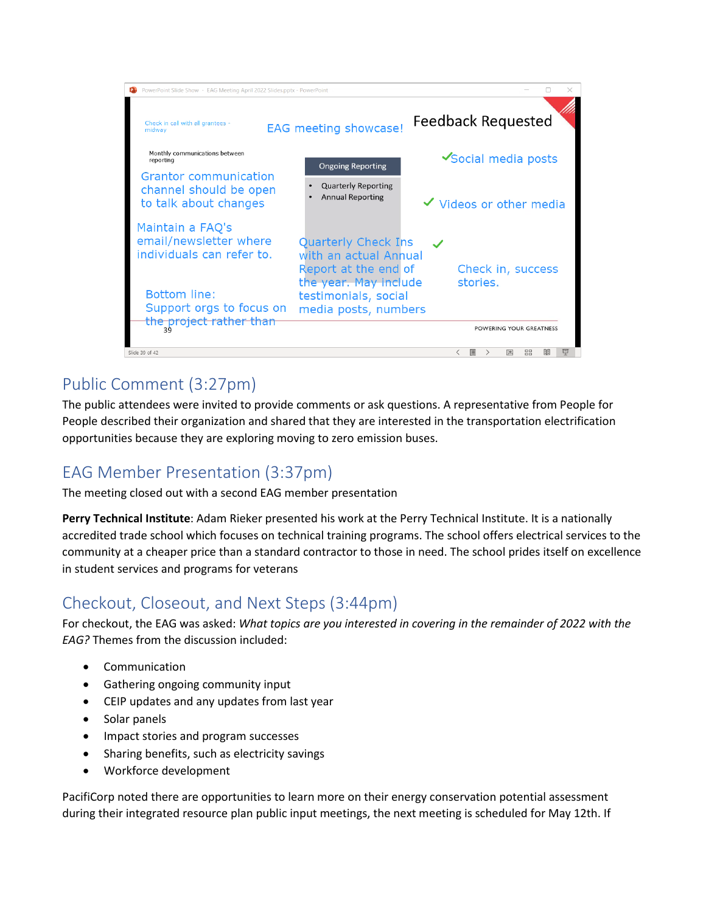

# Public Comment (3:27pm)

The public attendees were invited to provide comments or ask questions. A representative from People for People described their organization and shared that they are interested in the transportation electrification opportunities because they are exploring moving to zero emission buses.

### EAG Member Presentation (3:37pm)

The meeting closed out with a second EAG member presentation

**Perry Technical Institute**: Adam Rieker presented his work at the Perry Technical Institute. It is a nationally accredited trade school which focuses on technical training programs. The school offers electrical services to the community at a cheaper price than a standard contractor to those in need. The school prides itself on excellence in student services and programs for veterans

### Checkout, Closeout, and Next Steps (3:44pm)

For checkout, the EAG was asked: *What topics are you interested in covering in the remainder of 2022 with the EAG?* Themes from the discussion included:

- Communication
- Gathering ongoing community input
- CEIP updates and any updates from last year
- Solar panels
- Impact stories and program successes
- Sharing benefits, such as electricity savings
- Workforce development

PacifiCorp noted there are opportunities to learn more on their energy conservation potential assessment during their integrated resource plan public input meetings, the next meeting is scheduled for May 12th. If